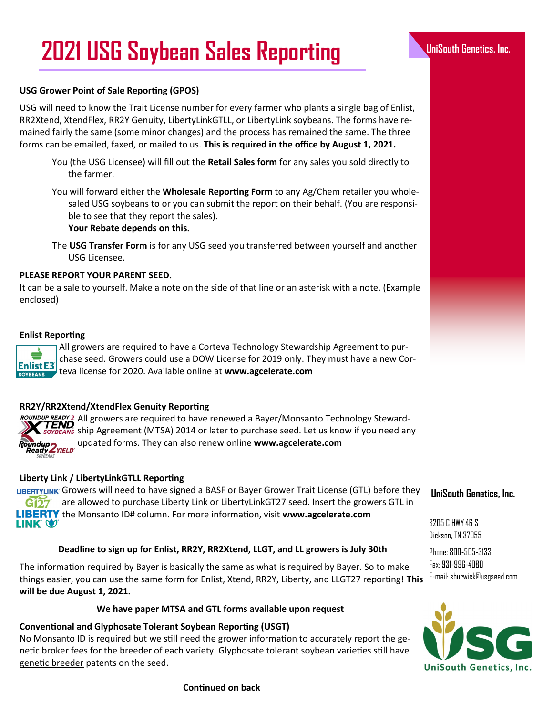# **UniSouth Genetics, Inc. 2021 USG Soybean Sales Reporting**

#### **USG Grower Point of Sale Reporting (GPOS)**

USG will need to know the Trait License number for every farmer who plants a single bag of Enlist, RR2Xtend, XtendFlex, RR2Y Genuity, LibertyLinkGTLL, or LibertyLink soybeans. The forms have remained fairly the same (some minor changes) and the process has remained the same. The three forms can be emailed, faxed, or mailed to us. **This is required in the office by August 1, 2021.** 

- You (the USG Licensee) will fill out the **Retail Sales form** for any sales you sold directly to the farmer.
- You will forward either the **Wholesale Reporting Form** to any Ag/Chem retailer you wholesaled USG soybeans to or you can submit the report on their behalf. (You are responsible to see that they report the sales).

**Your Rebate depends on this.**

The **USG Transfer Form** is for any USG seed you transferred between yourself and another USG Licensee.

#### **PLEASE REPORT YOUR PARENT SEED.**

It can be a sale to yourself. Make a note on the side of that line or an asterisk with a note. (Example enclosed)

#### **Enlist Reporting**

**Enlist E3** 

All growers are required to have a Corteva Technology Stewardship Agreement to purchase seed. Growers could use a DOW License for 2019 only. They must have a new Corteva license for 2020. Available online at **www.agcelerate.com**

#### **RR2Y/RR2Xtend/XtendFlex Genuity Reporting**

ROUNDUP READY 2 All growers are required to have renewed a Bayer/Monsanto Technology Steward-**TEND Solution** Agreement (MTSA) 2014 or later to purchase seed. Let us know if you need any updated forms. They can also renew online **www.agcelerate.com** Roundup<br>Ready 2YIELD

### **Liberty Link / LibertyLinkGTLL Reporting**

LIBERTYLINK Growers will need to have signed a BASF or Bayer Grower Trait License (GTL) before they  $G<sub>27</sub>$  are allowed to purchase Liberty Link or LibertyLinkGT27 seed. Insert the growers GTL in **LIBERTY** the Monsanto ID# column. For more information, visit www.agcelerate.com **LINK Q.** 

#### **Deadline to sign up for Enlist, RR2Y, RR2Xtend, LLGT, and LL growers is July 30th**

The information required by Bayer is basically the same as what is required by Bayer. So to make things easier, you can use the same form for Enlist, Xtend, RR2Y, Liberty, and LLGT27 reporting! **This will be due August 1, 2021.**

#### **We have paper MTSA and GTL forms available upon request**

#### **Conventional and Glyphosate Tolerant Soybean Reporting (USGT)**

No Monsanto ID is required but we still need the grower information to accurately report the genetic broker fees for the breeder of each variety. Glyphosate tolerant soybean varieties still have genetic breeder patents on the seed.

# **UniSouth Genetics, Inc.**

3205 C HWY 46 S Dickson, TN 37055

Phone: 800-505-3133 Fax: 931-996-4080 E-mail: sburwick@usgseed.com